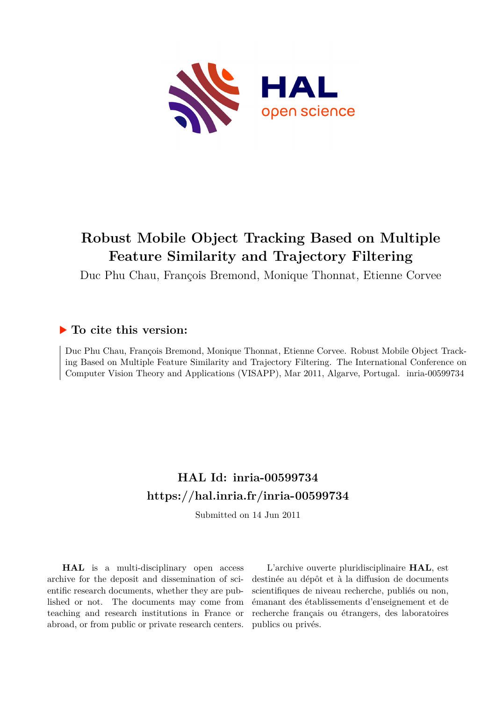

# **Robust Mobile Object Tracking Based on Multiple Feature Similarity and Trajectory Filtering**

Duc Phu Chau, François Bremond, Monique Thonnat, Etienne Corvee

# **To cite this version:**

Duc Phu Chau, François Bremond, Monique Thonnat, Etienne Corvee. Robust Mobile Object Tracking Based on Multiple Feature Similarity and Trajectory Filtering. The International Conference on Computer Vision Theory and Applications (VISAPP), Mar 2011, Algarve, Portugal. inria-00599734

# **HAL Id: inria-00599734 <https://hal.inria.fr/inria-00599734>**

Submitted on 14 Jun 2011

**HAL** is a multi-disciplinary open access archive for the deposit and dissemination of scientific research documents, whether they are published or not. The documents may come from teaching and research institutions in France or abroad, or from public or private research centers.

L'archive ouverte pluridisciplinaire **HAL**, est destinée au dépôt et à la diffusion de documents scientifiques de niveau recherche, publiés ou non, émanant des établissements d'enseignement et de recherche français ou étrangers, des laboratoires publics ou privés.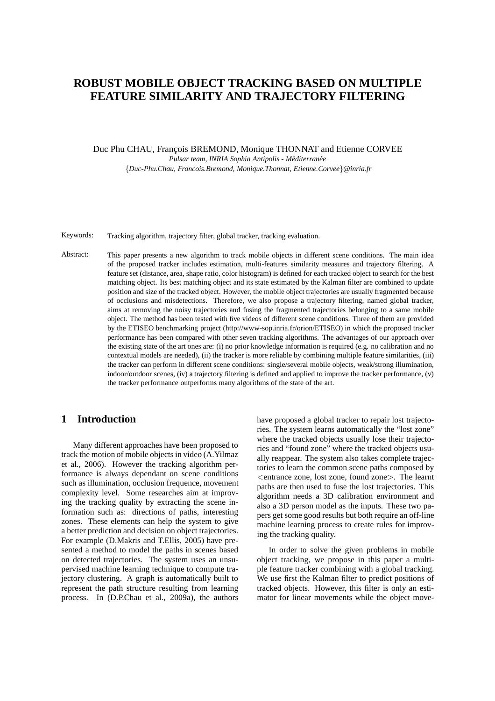# **ROBUST MOBILE OBJECT TRACKING BASED ON MULTIPLE FEATURE SIMILARITY AND TRAJECTORY FILTERING**

Duc Phu CHAU, François BREMOND, Monique THONNAT and Etienne CORVEE *Pulsar team, INRIA Sophia Antipolis - M´editerran´ee*

{*Duc-Phu.Chau, Francois.Bremond, Monique.Thonnat, Etienne.Corvee*}*@inria.fr*

Keywords: Tracking algorithm, trajectory filter, global tracker, tracking evaluation.

Abstract: This paper presents a new algorithm to track mobile objects in different scene conditions. The main idea of the proposed tracker includes estimation, multi-features similarity measures and trajectory filtering. A feature set (distance, area, shape ratio, color histogram) is defined for each tracked object to search for the best matching object. Its best matching object and its state estimated by the Kalman filter are combined to update position and size of the tracked object. However, the mobile object trajectories are usually fragmented because of occlusions and misdetections. Therefore, we also propose a trajectory filtering, named global tracker, aims at removing the noisy trajectories and fusing the fragmented trajectories belonging to a same mobile object. The method has been tested with five videos of different scene conditions. Three of them are provided by the ETISEO benchmarking project (http://www-sop.inria.fr/orion/ETISEO) in which the proposed tracker performance has been compared with other seven tracking algorithms. The advantages of our approach over the existing state of the art ones are: (i) no prior knowledge information is required (e.g. no calibration and no contextual models are needed), (ii) the tracker is more reliable by combining multiple feature similarities, (iii) the tracker can perform in different scene conditions: single/several mobile objects, weak/strong illumination, indoor/outdoor scenes, (iv) a trajectory filtering is defined and applied to improve the tracker performance, (v) the tracker performance outperforms many algorithms of the state of the art.

# **1 Introduction**

Many different approaches have been proposed to track the motion of mobile objects in video (A.Yilmaz et al., 2006). However the tracking algorithm performance is always dependant on scene conditions such as illumination, occlusion frequence, movement complexity level. Some researches aim at improving the tracking quality by extracting the scene information such as: directions of paths, interesting zones. These elements can help the system to give a better prediction and decision on object trajectories. For example (D.Makris and T.Ellis, 2005) have presented a method to model the paths in scenes based on detected trajectories. The system uses an unsupervised machine learning technique to compute trajectory clustering. A graph is automatically built to represent the path structure resulting from learning process. In (D.P.Chau et al., 2009a), the authors have proposed a global tracker to repair lost trajectories. The system learns automatically the "lost zone" where the tracked objects usually lose their trajectories and "found zone" where the tracked objects usually reappear. The system also takes complete trajectories to learn the common scene paths composed by <entrance zone, lost zone, found zone>. The learnt paths are then used to fuse the lost trajectories. This algorithm needs a 3D calibration environment and also a 3D person model as the inputs. These two papers get some good results but both require an off-line machine learning process to create rules for improving the tracking quality.

In order to solve the given problems in mobile object tracking, we propose in this paper a multiple feature tracker combining with a global tracking. We use first the Kalman filter to predict positions of tracked objects. However, this filter is only an estimator for linear movements while the object move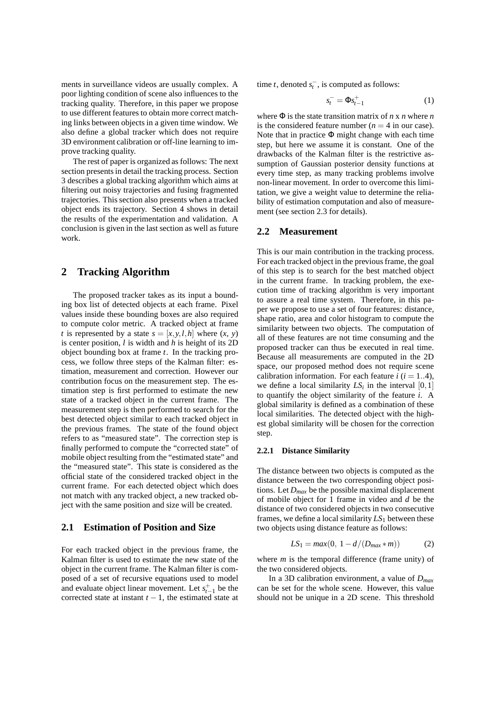ments in surveillance videos are usually complex. A poor lighting condition of scene also influences to the tracking quality. Therefore, in this paper we propose to use different features to obtain more correct matching links between objects in a given time window. We also define a global tracker which does not require 3D environment calibration or off-line learning to improve tracking quality.

The rest of paper is organized as follows: The next section presents in detail the tracking process. Section 3 describes a global tracking algorithm which aims at filtering out noisy trajectories and fusing fragmented trajectories. This section also presents when a tracked object ends its trajectory. Section 4 shows in detail the results of the experimentation and validation. A conclusion is given in the last section as well as future work.

# **2 Tracking Algorithm**

The proposed tracker takes as its input a bounding box list of detected objects at each frame. Pixel values inside these bounding boxes are also required to compute color metric. A tracked object at frame *t* is represented by a state  $s = [x, y, l, h]$  where  $(x, y)$ is center position, *l* is width and *h* is height of its 2D object bounding box at frame *t*. In the tracking process, we follow three steps of the Kalman filter: estimation, measurement and correction. However our contribution focus on the measurement step. The estimation step is first performed to estimate the new state of a tracked object in the current frame. The measurement step is then performed to search for the best detected object similar to each tracked object in the previous frames. The state of the found object refers to as "measured state". The correction step is finally performed to compute the "corrected state" of mobile object resulting from the "estimated state" and the "measured state". This state is considered as the official state of the considered tracked object in the current frame. For each detected object which does not match with any tracked object, a new tracked object with the same position and size will be created.

### **2.1 Estimation of Position and Size**

For each tracked object in the previous frame, the Kalman filter is used to estimate the new state of the object in the current frame. The Kalman filter is composed of a set of recursive equations used to model and evaluate object linear movement. Let  $s_{t-1}^+$  be the corrected state at instant  $t - 1$ , the estimated state at time *t*, denoted  $s_t^-$ , is computed as follows:

$$
s_t^- = \Phi s_{t-1}^+ \tag{1}
$$

where Φ is the state transition matrix of *n* x *n* where *n* is the considered feature number  $(n = 4$  in our case). Note that in practice  $\Phi$  might change with each time step, but here we assume it is constant. One of the drawbacks of the Kalman filter is the restrictive assumption of Gaussian posterior density functions at every time step, as many tracking problems involve non-linear movement. In order to overcome this limitation, we give a weight value to determine the reliability of estimation computation and also of measurement (see section 2.3 for details).

### **2.2 Measurement**

This is our main contribution in the tracking process. For each tracked object in the previous frame, the goal of this step is to search for the best matched object in the current frame. In tracking problem, the execution time of tracking algorithm is very important to assure a real time system. Therefore, in this paper we propose to use a set of four features: distance, shape ratio, area and color histogram to compute the similarity between two objects. The computation of all of these features are not time consuming and the proposed tracker can thus be executed in real time. Because all measurements are computed in the 2D space, our proposed method does not require scene calibration information. For each feature  $i$  ( $i = 1..4$ ), we define a local similarity  $LS_i$  in the interval  $[0,1]$ to quantify the object similarity of the feature *i*. A global similarity is defined as a combination of these local similarities. The detected object with the highest global similarity will be chosen for the correction step.

#### **2.2.1 Distance Similarity**

The distance between two objects is computed as the distance between the two corresponding object positions. Let *Dmax* be the possible maximal displacement of mobile object for 1 frame in video and *d* be the distance of two considered objects in two consecutive frames, we define a local similarity *LS*<sup>1</sup> between these two objects using distance feature as follows:

$$
LS_1 = \max(0, \ 1 - d/(D_{\max} * m))
$$
 (2)

where *m* is the temporal difference (frame unity) of the two considered objects.

In a 3D calibration environment, a value of *Dmax* can be set for the whole scene. However, this value should not be unique in a 2D scene. This threshold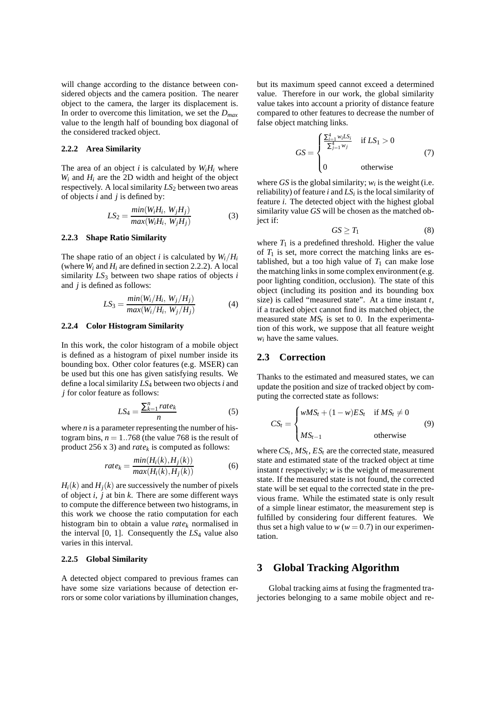will change according to the distance between considered objects and the camera position. The nearer object to the camera, the larger its displacement is. In order to overcome this limitation, we set the *Dmax* value to the length half of bounding box diagonal of the considered tracked object.

#### **2.2.2 Area Similarity**

The area of an object *i* is calculated by  $W_iH_i$  where  $W_i$  and  $H_i$  are the 2D width and height of the object respectively. A local similarity  $LS_2$  between two areas of objects *i* and *j* is defined by:

$$
LS_2 = \frac{min(W_i H_i, W_j H_j)}{max(W_i H_i, W_j H_j)}
$$
(3)

#### **2.2.3 Shape Ratio Similarity**

The shape ratio of an object *i* is calculated by  $W_i/H_i$ (where  $W_i$  and  $H_i$  are defined in section 2.2.2). A local similarity *LS*<sup>3</sup> between two shape ratios of objects *i* and *j* is defined as follows:

$$
LS_3 = \frac{\min(W_i/H_i, W_j/H_j)}{\max(W_i/H_i, W_j/H_j)}
$$
(4)

#### **2.2.4 Color Histogram Similarity**

In this work, the color histogram of a mobile object is defined as a histogram of pixel number inside its bounding box. Other color features (e.g. MSER) can be used but this one has given satisfying results. We define a local similarity *LS*<sup>4</sup> between two objects*i* and *j* for color feature as follows:

$$
LS_4 = \frac{\sum_{k=1}^{n} rate_k}{n}
$$
 (5)

where *n* is a parameter representing the number of histogram bins,  $n = 1..768$  (the value 768 is the result of product 256 x 3) and  $rate_k$  is computed as follows:

$$
rate_k = \frac{min(H_i(k), H_j(k))}{max(H_i(k), H_j(k))}
$$
(6)

 $H_i(k)$  and  $H_i(k)$  are successively the number of pixels of object *i*, *j* at bin *k*. There are some different ways to compute the difference between two histograms, in this work we choose the ratio computation for each histogram bin to obtain a value *rate<sup>k</sup>* normalised in the interval [0, 1]. Consequently the *LS*<sup>4</sup> value also varies in this interval.

#### **2.2.5 Global Similarity**

A detected object compared to previous frames can have some size variations because of detection errors or some color variations by illumination changes, but its maximum speed cannot exceed a determined value. Therefore in our work, the global similarity value takes into account a priority of distance feature compared to other features to decrease the number of false object matching links.

$$
GS = \begin{cases} \frac{\sum_{i=1}^{4} w_i LS_i}{\sum_{j=1}^{4} w_j} & \text{if } LS_1 > 0\\ 0 & \text{otherwise} \end{cases}
$$
(7)

where  $GS$  is the global similarity;  $w_i$  is the weight (i.e. reliability) of feature  $i$  and  $LS<sub>i</sub>$  is the local similarity of feature *i*. The detected object with the highest global similarity value *GS* will be chosen as the matched object if:

$$
GS \geq T_1 \tag{8}
$$

where  $T_1$  is a predefined threshold. Higher the value of  $T_1$  is set, more correct the matching links are established, but a too high value of  $T_1$  can make lose the matching links in some complex environment (e.g. poor lighting condition, occlusion). The state of this object (including its position and its bounding box size) is called "measured state". At a time instant *t*, if a tracked object cannot find its matched object, the measured state  $MS<sub>t</sub>$  is set to 0. In the experimentation of this work, we suppose that all feature weight  $w_i$  have the same values.

#### **2.3 Correction**

Thanks to the estimated and measured states, we can update the position and size of tracked object by computing the corrected state as follows:

$$
CS_t = \begin{cases} wMS_t + (1 - w)ES_t & \text{if } MS_t \neq 0 \\ MS_{t-1} & \text{otherwise} \end{cases}
$$
(9)

where  $CS_t$ ,  $MS_t$ ,  $ES_t$  are the corrected state, measured state and estimated state of the tracked object at time instant *t* respectively; *w* is the weight of measurement state. If the measured state is not found, the corrected state will be set equal to the corrected state in the previous frame. While the estimated state is only result of a simple linear estimator, the measurement step is fulfilled by considering four different features. We thus set a high value to  $w(w = 0.7)$  in our experimentation.

# **3 Global Tracking Algorithm**

Global tracking aims at fusing the fragmented trajectories belonging to a same mobile object and re-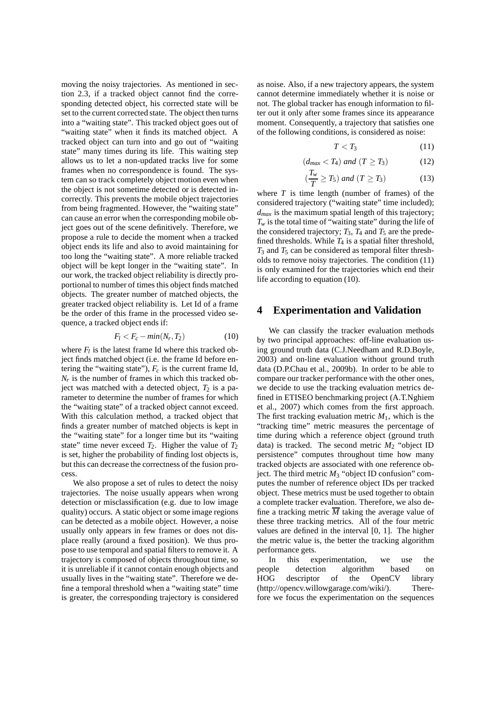moving the noisy trajectories. As mentioned in section 2.3, if a tracked object cannot find the corresponding detected object, his corrected state will be set to the current corrected state. The object then turns into a "waiting state". This tracked object goes out of "waiting state" when it finds its matched object. A tracked object can turn into and go out of "waiting state" many times during its life. This waiting step allows us to let a non-updated tracks live for some frames when no correspondence is found. The system can so track completely object motion even when the object is not sometime detected or is detected incorrectly. This prevents the mobile object trajectories from being fragmented. However, the "waiting state" can cause an error when the corresponding mobile object goes out of the scene definitively. Therefore, we propose a rule to decide the moment when a tracked object ends its life and also to avoid maintaining for too long the "waiting state". A more reliable tracked object will be kept longer in the "waiting state". In our work, the tracked object reliability is directly proportional to number of times this object finds matched objects. The greater number of matched objects, the greater tracked object reliability is. Let Id of a frame be the order of this frame in the processed video sequence, a tracked object ends if:

$$
F_l < F_c - \min(N_r, T_2) \tag{10}
$$

where  $F_l$  is the latest frame Id where this tracked object finds matched object (i.e. the frame Id before entering the "waiting state"), *F<sup>c</sup>* is the current frame Id, *Nr* is the number of frames in which this tracked object was matched with a detected object,  $T_2$  is a parameter to determine the number of frames for which the "waiting state" of a tracked object cannot exceed. With this calculation method, a tracked object that finds a greater number of matched objects is kept in the "waiting state" for a longer time but its "waiting state" time never exceed  $T_2$ . Higher the value of  $T_2$ is set, higher the probability of finding lost objects is, but this can decrease the correctness of the fusion process.

We also propose a set of rules to detect the noisy trajectories. The noise usually appears when wrong detection or misclassification (e.g. due to low image quality) occurs. A static object or some image regions can be detected as a mobile object. However, a noise usually only appears in few frames or does not displace really (around a fixed position). We thus propose to use temporal and spatial filters to remove it. A trajectory is composed of objects throughout time, so it is unreliable if it cannot contain enough objects and usually lives in the "waiting state". Therefore we define a temporal threshold when a "waiting state" time is greater, the corresponding trajectory is considered as noise. Also, if a new trajectory appears, the system cannot determine immediately whether it is noise or not. The global tracker has enough information to filter out it only after some frames since its appearance moment. Consequently, a trajectory that satisfies one of the following conditions, is considered as noise:

$$
T < T_3 \tag{11}
$$

$$
(d_{max} < T_4) \text{ and } (T \ge T_3) \tag{12}
$$

$$
\left(\frac{T_w}{T} \ge T_5\right) \text{ and } \left(T \ge T_3\right) \tag{13}
$$

where  $T$  is time length (number of frames) of the considered trajectory ("waiting state" time included); *dmax* is the maximum spatial length of this trajectory;  $T_w$  is the total time of "waiting state" during the life of the considered trajectory;  $T_3$ ,  $T_4$  and  $T_5$  are the predefined thresholds. While  $T_4$  is a spatial filter threshold,  $T_3$  and  $T_5$  can be considered as temporal filter thresholds to remove noisy trajectories. The condition (11) is only examined for the trajectories which end their life according to equation (10).

#### **4 Experimentation and Validation**

We can classify the tracker evaluation methods by two principal approaches: off-line evaluation using ground truth data (C.J.Needham and R.D.Boyle, 2003) and on-line evaluation without ground truth data (D.P.Chau et al., 2009b). In order to be able to compare our tracker performance with the other ones, we decide to use the tracking evaluation metrics defined in ETISEO benchmarking project (A.T.Nghiem et al., 2007) which comes from the first approach. The first tracking evaluation metric  $M_1$ , which is the "tracking time" metric measures the percentage of time during which a reference object (ground truth data) is tracked. The second metric  $M_2$  "object ID persistence" computes throughout time how many tracked objects are associated with one reference object. The third metric  $M_3$  "object ID confusion" computes the number of reference object IDs per tracked object. These metrics must be used together to obtain a complete tracker evaluation. Therefore, we also define a tracking metric  $\overline{M}$  taking the average value of these three tracking metrics. All of the four metric values are defined in the interval [0, 1]. The higher the metric value is, the better the tracking algorithm performance gets.

In this experimentation, we use the people detection algorithm based on HOG descriptor of the OpenCV library (http://opencv.willowgarage.com/wiki/). Therefore we focus the experimentation on the sequences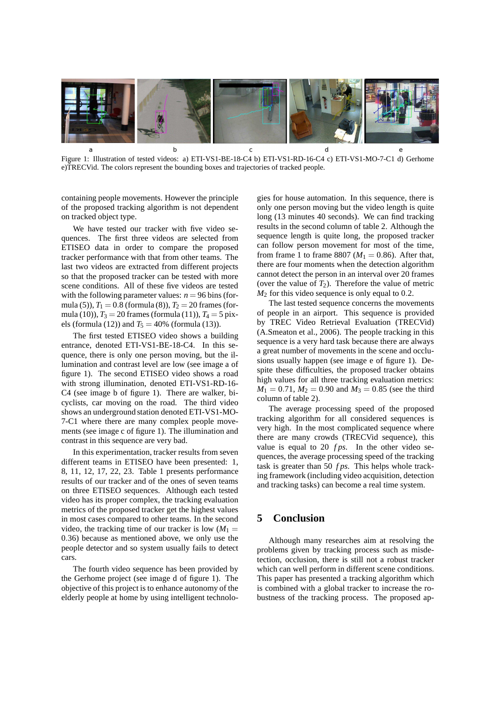

Figure 1: Illustration of tested videos: a) ETI-VS1-BE-18-C4 b) ETI-VS1-RD-16-C4 c) ETI-VS1-MO-7-C1 d) Gerhome e)TRECVid. The colors represent the bounding boxes and trajectories of tracked people.

containing people movements. However the principle of the proposed tracking algorithm is not dependent on tracked object type.

We have tested our tracker with five video sequences. The first three videos are selected from ETISEO data in order to compare the proposed tracker performance with that from other teams. The last two videos are extracted from different projects so that the proposed tracker can be tested with more scene conditions. All of these five videos are tested with the following parameter values:  $n = 96$  bins (formula (5)),  $T_1 = 0.8$  (formula (8)),  $T_2 = 20$  frames (formula (10)),  $T_3 = 20$  frames (formula (11)),  $T_4 = 5$  pixels (formula (12)) and  $T_5 = 40\%$  (formula (13)).

The first tested ETISEO video shows a building entrance, denoted ETI-VS1-BE-18-C4. In this sequence, there is only one person moving, but the illumination and contrast level are low (see image a of figure 1). The second ETISEO video shows a road with strong illumination, denoted ETI-VS1-RD-16- C4 (see image b of figure 1). There are walker, bicyclists, car moving on the road. The third video shows an underground station denoted ETI-VS1-MO-7-C1 where there are many complex people movements (see image c of figure 1). The illumination and contrast in this sequence are very bad.

In this experimentation, tracker results from seven different teams in ETISEO have been presented: 1, 8, 11, 12, 17, 22, 23. Table 1 presents performance results of our tracker and of the ones of seven teams on three ETISEO sequences. Although each tested video has its proper complex, the tracking evaluation metrics of the proposed tracker get the highest values in most cases compared to other teams. In the second video, the tracking time of our tracker is low  $(M_1 =$ 0.36) because as mentioned above, we only use the people detector and so system usually fails to detect cars.

The fourth video sequence has been provided by the Gerhome project (see image d of figure 1). The objective of this project is to enhance autonomy of the elderly people at home by using intelligent technolo-

gies for house automation. In this sequence, there is only one person moving but the video length is quite long (13 minutes 40 seconds). We can find tracking results in the second column of table 2. Although the sequence length is quite long, the proposed tracker can follow person movement for most of the time, from frame 1 to frame 8807 ( $M_1 = 0.86$ ). After that, there are four moments when the detection algorithm cannot detect the person in an interval over 20 frames (over the value of  $T_2$ ). Therefore the value of metric  $M<sub>2</sub>$  for this video sequence is only equal to 0.2.

The last tested sequence concerns the movements of people in an airport. This sequence is provided by TREC Video Retrieval Evaluation (TRECVid) (A.Smeaton et al., 2006). The people tracking in this sequence is a very hard task because there are always a great number of movements in the scene and occlusions usually happen (see image e of figure 1). Despite these difficulties, the proposed tracker obtains high values for all three tracking evaluation metrics:  $M_1 = 0.71$ ,  $M_2 = 0.90$  and  $M_3 = 0.85$  (see the third column of table 2).

The average processing speed of the proposed tracking algorithm for all considered sequences is very high. In the most complicated sequence where there are many crowds (TRECVid sequence), this value is equal to 20 *f ps*. In the other video sequences, the average processing speed of the tracking task is greater than 50 *f ps*. This helps whole tracking framework (including video acquisition, detection and tracking tasks) can become a real time system.

# **5 Conclusion**

Although many researches aim at resolving the problems given by tracking process such as misdetection, occlusion, there is still not a robust tracker which can well perform in different scene conditions. This paper has presented a tracking algorithm which is combined with a global tracker to increase the robustness of the tracking process. The proposed ap-